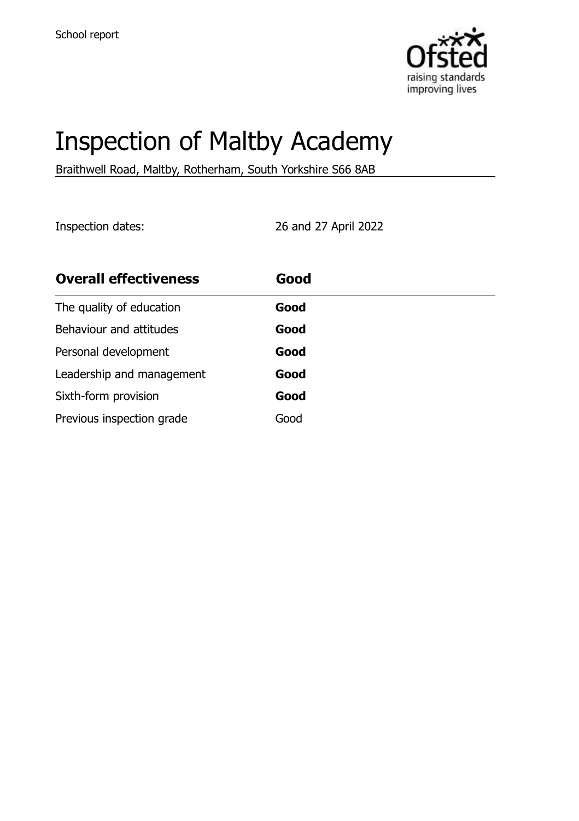

# Inspection of Maltby Academy

Braithwell Road, Maltby, Rotherham, South Yorkshire S66 8AB

Inspection dates: 26 and 27 April 2022

| <b>Overall effectiveness</b> | Good |
|------------------------------|------|
| The quality of education     | Good |
| Behaviour and attitudes      | Good |
| Personal development         | Good |
| Leadership and management    | Good |
| Sixth-form provision         | Good |
| Previous inspection grade    | Good |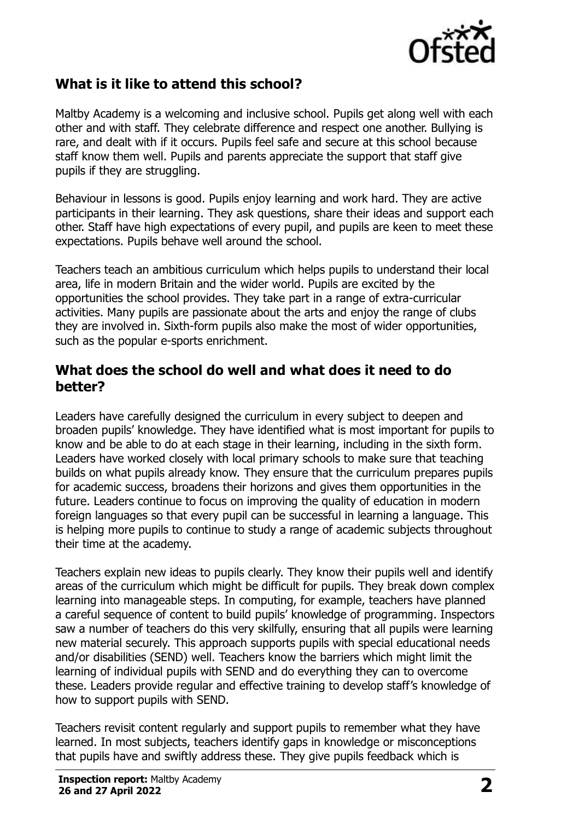

### **What is it like to attend this school?**

Maltby Academy is a welcoming and inclusive school. Pupils get along well with each other and with staff. They celebrate difference and respect one another. Bullying is rare, and dealt with if it occurs. Pupils feel safe and secure at this school because staff know them well. Pupils and parents appreciate the support that staff give pupils if they are struggling.

Behaviour in lessons is good. Pupils enjoy learning and work hard. They are active participants in their learning. They ask questions, share their ideas and support each other. Staff have high expectations of every pupil, and pupils are keen to meet these expectations. Pupils behave well around the school.

Teachers teach an ambitious curriculum which helps pupils to understand their local area, life in modern Britain and the wider world. Pupils are excited by the opportunities the school provides. They take part in a range of extra-curricular activities. Many pupils are passionate about the arts and enjoy the range of clubs they are involved in. Sixth-form pupils also make the most of wider opportunities, such as the popular e-sports enrichment.

#### **What does the school do well and what does it need to do better?**

Leaders have carefully designed the curriculum in every subject to deepen and broaden pupils' knowledge. They have identified what is most important for pupils to know and be able to do at each stage in their learning, including in the sixth form. Leaders have worked closely with local primary schools to make sure that teaching builds on what pupils already know. They ensure that the curriculum prepares pupils for academic success, broadens their horizons and gives them opportunities in the future. Leaders continue to focus on improving the quality of education in modern foreign languages so that every pupil can be successful in learning a language. This is helping more pupils to continue to study a range of academic subjects throughout their time at the academy.

Teachers explain new ideas to pupils clearly. They know their pupils well and identify areas of the curriculum which might be difficult for pupils. They break down complex learning into manageable steps. In computing, for example, teachers have planned a careful sequence of content to build pupils' knowledge of programming. Inspectors saw a number of teachers do this very skilfully, ensuring that all pupils were learning new material securely. This approach supports pupils with special educational needs and/or disabilities (SEND) well. Teachers know the barriers which might limit the learning of individual pupils with SEND and do everything they can to overcome these. Leaders provide regular and effective training to develop staff's knowledge of how to support pupils with SEND.

Teachers revisit content regularly and support pupils to remember what they have learned. In most subjects, teachers identify gaps in knowledge or misconceptions that pupils have and swiftly address these. They give pupils feedback which is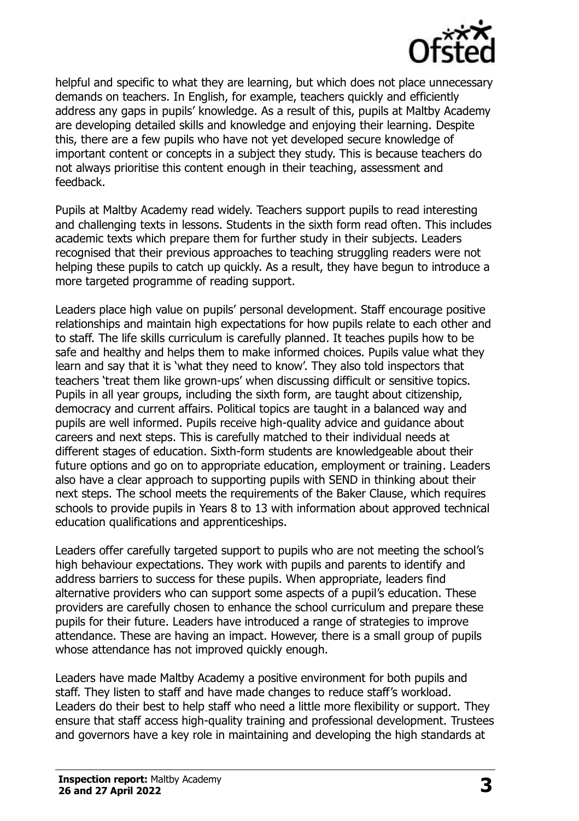

helpful and specific to what they are learning, but which does not place unnecessary demands on teachers. In English, for example, teachers quickly and efficiently address any gaps in pupils' knowledge. As a result of this, pupils at Maltby Academy are developing detailed skills and knowledge and enjoying their learning. Despite this, there are a few pupils who have not yet developed secure knowledge of important content or concepts in a subject they study. This is because teachers do not always prioritise this content enough in their teaching, assessment and feedback.

Pupils at Maltby Academy read widely. Teachers support pupils to read interesting and challenging texts in lessons. Students in the sixth form read often. This includes academic texts which prepare them for further study in their subjects. Leaders recognised that their previous approaches to teaching struggling readers were not helping these pupils to catch up quickly. As a result, they have begun to introduce a more targeted programme of reading support.

Leaders place high value on pupils' personal development. Staff encourage positive relationships and maintain high expectations for how pupils relate to each other and to staff. The life skills curriculum is carefully planned. It teaches pupils how to be safe and healthy and helps them to make informed choices. Pupils value what they learn and say that it is 'what they need to know'. They also told inspectors that teachers 'treat them like grown-ups' when discussing difficult or sensitive topics. Pupils in all year groups, including the sixth form, are taught about citizenship, democracy and current affairs. Political topics are taught in a balanced way and pupils are well informed. Pupils receive high-quality advice and guidance about careers and next steps. This is carefully matched to their individual needs at different stages of education. Sixth-form students are knowledgeable about their future options and go on to appropriate education, employment or training. Leaders also have a clear approach to supporting pupils with SEND in thinking about their next steps. The school meets the requirements of the Baker Clause, which requires schools to provide pupils in Years 8 to 13 with information about approved technical education qualifications and apprenticeships.

Leaders offer carefully targeted support to pupils who are not meeting the school's high behaviour expectations. They work with pupils and parents to identify and address barriers to success for these pupils. When appropriate, leaders find alternative providers who can support some aspects of a pupil's education. These providers are carefully chosen to enhance the school curriculum and prepare these pupils for their future. Leaders have introduced a range of strategies to improve attendance. These are having an impact. However, there is a small group of pupils whose attendance has not improved quickly enough.

Leaders have made Maltby Academy a positive environment for both pupils and staff. They listen to staff and have made changes to reduce staff's workload. Leaders do their best to help staff who need a little more flexibility or support. They ensure that staff access high-quality training and professional development. Trustees and governors have a key role in maintaining and developing the high standards at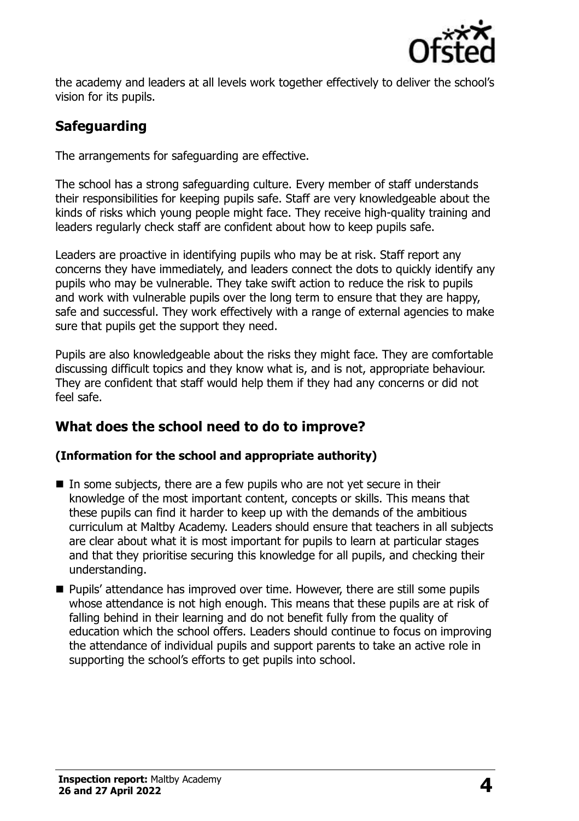

the academy and leaders at all levels work together effectively to deliver the school's vision for its pupils.

## **Safeguarding**

The arrangements for safeguarding are effective.

The school has a strong safeguarding culture. Every member of staff understands their responsibilities for keeping pupils safe. Staff are very knowledgeable about the kinds of risks which young people might face. They receive high-quality training and leaders regularly check staff are confident about how to keep pupils safe.

Leaders are proactive in identifying pupils who may be at risk. Staff report any concerns they have immediately, and leaders connect the dots to quickly identify any pupils who may be vulnerable. They take swift action to reduce the risk to pupils and work with vulnerable pupils over the long term to ensure that they are happy, safe and successful. They work effectively with a range of external agencies to make sure that pupils get the support they need.

Pupils are also knowledgeable about the risks they might face. They are comfortable discussing difficult topics and they know what is, and is not, appropriate behaviour. They are confident that staff would help them if they had any concerns or did not feel safe.

## **What does the school need to do to improve?**

#### **(Information for the school and appropriate authority)**

- In some subjects, there are a few pupils who are not yet secure in their knowledge of the most important content, concepts or skills. This means that these pupils can find it harder to keep up with the demands of the ambitious curriculum at Maltby Academy. Leaders should ensure that teachers in all subjects are clear about what it is most important for pupils to learn at particular stages and that they prioritise securing this knowledge for all pupils, and checking their understanding.
- Pupils' attendance has improved over time. However, there are still some pupils whose attendance is not high enough. This means that these pupils are at risk of falling behind in their learning and do not benefit fully from the quality of education which the school offers. Leaders should continue to focus on improving the attendance of individual pupils and support parents to take an active role in supporting the school's efforts to get pupils into school.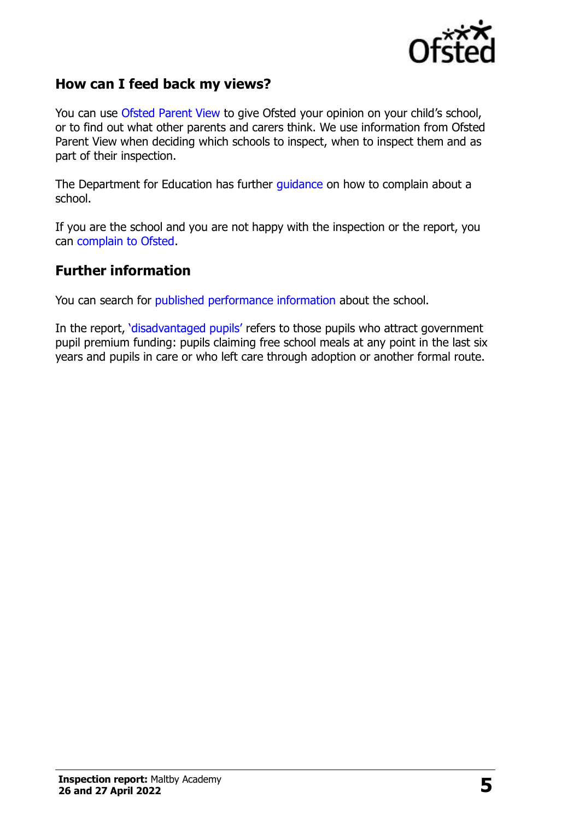

#### **How can I feed back my views?**

You can use [Ofsted Parent View](http://parentview.ofsted.gov.uk/) to give Ofsted your opinion on your child's school, or to find out what other parents and carers think. We use information from Ofsted Parent View when deciding which schools to inspect, when to inspect them and as part of their inspection.

The Department for Education has further [guidance](http://www.gov.uk/complain-about-school) on how to complain about a school.

If you are the school and you are not happy with the inspection or the report, you can [complain to Ofsted.](http://www.gov.uk/complain-ofsted-report)

#### **Further information**

You can search for [published performance information](http://www.compare-school-performance.service.gov.uk/) about the school.

In the report, '[disadvantaged pupils](http://www.gov.uk/guidance/pupil-premium-information-for-schools-and-alternative-provision-settings)' refers to those pupils who attract government pupil premium funding: pupils claiming free school meals at any point in the last six years and pupils in care or who left care through adoption or another formal route.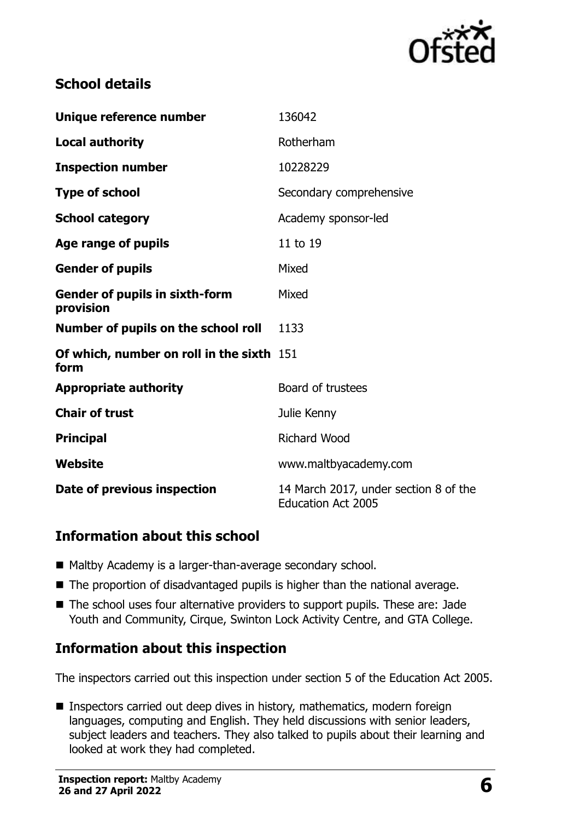

### **School details**

| Unique reference number                            | 136042                                                             |
|----------------------------------------------------|--------------------------------------------------------------------|
| <b>Local authority</b>                             | Rotherham                                                          |
| <b>Inspection number</b>                           | 10228229                                                           |
| <b>Type of school</b>                              | Secondary comprehensive                                            |
| <b>School category</b>                             | Academy sponsor-led                                                |
| Age range of pupils                                | 11 to 19                                                           |
| <b>Gender of pupils</b>                            | Mixed                                                              |
| <b>Gender of pupils in sixth-form</b><br>provision | Mixed                                                              |
| Number of pupils on the school roll                | 1133                                                               |
| Of which, number on roll in the sixth 151<br>form  |                                                                    |
| <b>Appropriate authority</b>                       | Board of trustees                                                  |
| <b>Chair of trust</b>                              | Julie Kenny                                                        |
| <b>Principal</b>                                   | <b>Richard Wood</b>                                                |
| Website                                            | www.maltbyacademy.com                                              |
| Date of previous inspection                        | 14 March 2017, under section 8 of the<br><b>Education Act 2005</b> |

#### **Information about this school**

- Maltby Academy is a larger-than-average secondary school.
- The proportion of disadvantaged pupils is higher than the national average.
- The school uses four alternative providers to support pupils. These are: Jade Youth and Community, Cirque, Swinton Lock Activity Centre, and GTA College.

## **Information about this inspection**

The inspectors carried out this inspection under section 5 of the Education Act 2005.

■ Inspectors carried out deep dives in history, mathematics, modern foreign languages, computing and English. They held discussions with senior leaders, subject leaders and teachers. They also talked to pupils about their learning and looked at work they had completed.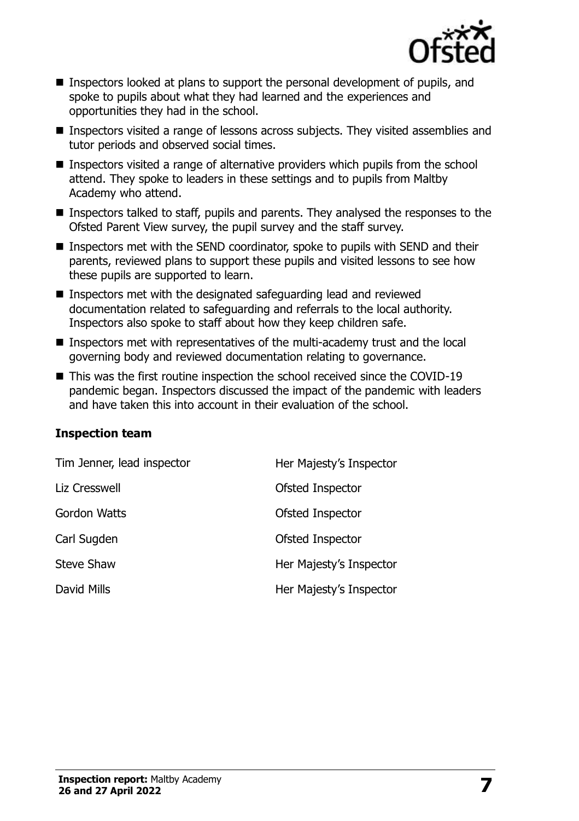

- Inspectors looked at plans to support the personal development of pupils, and spoke to pupils about what they had learned and the experiences and opportunities they had in the school.
- Inspectors visited a range of lessons across subjects. They visited assemblies and tutor periods and observed social times.
- Inspectors visited a range of alternative providers which pupils from the school attend. They spoke to leaders in these settings and to pupils from Maltby Academy who attend.
- Inspectors talked to staff, pupils and parents. They analysed the responses to the Ofsted Parent View survey, the pupil survey and the staff survey.
- Inspectors met with the SEND coordinator, spoke to pupils with SEND and their parents, reviewed plans to support these pupils and visited lessons to see how these pupils are supported to learn.
- Inspectors met with the designated safeguarding lead and reviewed documentation related to safeguarding and referrals to the local authority. Inspectors also spoke to staff about how they keep children safe.
- Inspectors met with representatives of the multi-academy trust and the local governing body and reviewed documentation relating to governance.
- This was the first routine inspection the school received since the COVID-19 pandemic began. Inspectors discussed the impact of the pandemic with leaders and have taken this into account in their evaluation of the school.

#### **Inspection team**

| Tim Jenner, lead inspector | Her Majesty's Inspector |
|----------------------------|-------------------------|
| Liz Cresswell              | Ofsted Inspector        |
| Gordon Watts               | Ofsted Inspector        |
| Carl Sugden                | Ofsted Inspector        |
| <b>Steve Shaw</b>          | Her Majesty's Inspector |
| David Mills                | Her Majesty's Inspector |